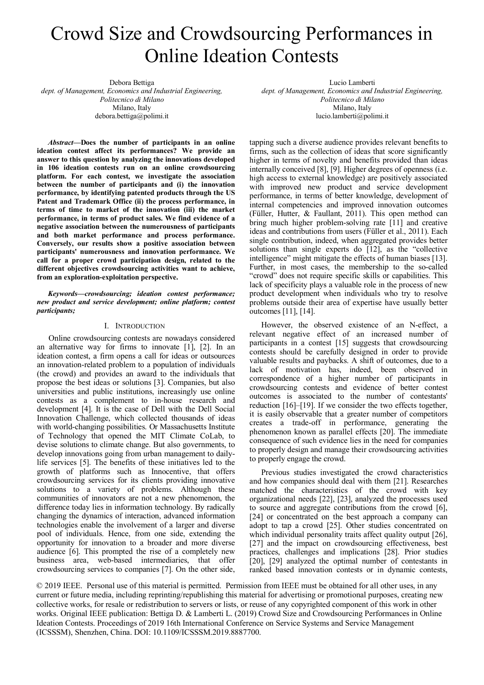# Crowd Size and Crowdsourcing Performances in Online Ideation Contests

Debora Bettiga *dept. of Management, Economics and Industrial Engineering, Politecnico di Milano* Milano, Italy debora.bettiga@polimi.it

*Abstract***—Does the number of participants in an online ideation contest affect its performances? We provide an answer to this question by analyzing the innovations developed in 106 ideation contests run on an online crowdsourcing platform. For each contest, we investigate the association between the number of participants and (i) the innovation performance, by identifying patented products through the US**  Patent and Trademark Office (ii) the process performance, in **terms of time to market of the innovation (iii) the market performance, in terms of product sales. We find evidence of a negative association between the numerousness of participants and both market performance and process performance. Conversely, our results show a positive association between participants' numerousness and innovation performance. We call for a proper crowd participation design, related to the different objectives crowdsourcing activities want to achieve, from an exploration-exploitation perspective.**

*Keywords—crowdsourcing; ideation contest performance; new product and service development; online platform; contest participants;*

## I. INTRODUCTION

Online crowdsourcing contests are nowadays considered an alternative way for firms to innovate  $[1]$ ,  $[2]$ . In an ideation contest, a firm opens a call for ideas or outsources an innovation-related problem to a population of individuals (the crowd) and provides an award to the individuals that propose the best ideas or solutions [3]. Companies, but also universities and public institutions, increasingly use online contests as a complement to in-house research and development [4]. It is the case of Dell with the Dell Social Innovation Challenge, which collected thousands of ideas with world-changing possibilities. Or Massachusetts Institute of Technology that opened the MIT Climate CoLab, to devise solutions to climate change. But also governments, to develop innovations going from urban management to dailylife services [5]. The benefits of these initiatives led to the growth of platforms such as Innocentive, that offers crowdsourcing services for its clients providing innovative solutions to a variety of problems. Although these communities of innovators are not a new phenomenon, the difference today lies in information technology. By radically changing the dynamics of interaction, advanced information technologies enable the involvement of a larger and diverse pool of individuals. Hence, from one side, extending the opportunity for innovation to a broader and more diverse audience [6]. This prompted the rise of a completely new business area, web-based intermediaries, that offer crowdsourcing services to companies [7]. On the other side,

Lucio Lamberti *dept. of Management, Economics and Industrial Engineering, Politecnico di Milano* Milano, Italy lucio.lamberti@polimi.it

tapping such a diverse audience provides relevant benefits to firms, such as the collection of ideas that score significantly higher in terms of novelty and benefits provided than ideas internally conceived [8], [9]. Higher degrees of openness (i.e. high access to external knowledge) are positively associated with improved new product and service development performance, in terms of better knowledge, development of internal competencies and improved innovation outcomes (Füller, Hutter, & Faullant, 2011). This open method can bring much higher problem-solving rate [11] and creative ideas and contributions from users (Füller et al., 2011). Each single contribution, indeed, when aggregated provides better solutions than single experts do [12], as the "collective intelligence" might mitigate the effects of human biases [13]. Further, in most cases, the membership to the so-called "crowd" does not require specific skills or capabilities. This lack of specificity plays a valuable role in the process of new product development when individuals who try to resolve problems outside their area of expertise have usually better outcomes [11], [14].

However, the observed existence of an N-effect, a relevant negative effect of an increased number of participants in a contest [15] suggests that crowdsourcing contests should be carefully designed in order to provide valuable results and paybacks. A shift of outcomes, due to a lack of motivation has, indeed, been observed in correspondence of a higher number of participants in crowdsourcing contests and evidence of better contest outcomes is associated to the number of contestants' reduction [16]–[19]. If we consider the two effects together, it is easily observable that a greater number of competitors creates a trade-off in performance, generating the phenomenon known as parallel effects [20]. The immediate consequence of such evidence lies in the need for companies to properly design and manage their crowdsourcing activities to properly engage the crowd.

Previous studies investigated the crowd characteristics and how companies should deal with them [21]. Researches matched the characteristics of the crowd with key organizational needs [22], [23], analyzed the processes used to source and aggregate contributions from the crowd [6], [24] or concentrated on the best approach a company can adopt to tap a crowd [25]. Other studies concentrated on which individual personality traits affect quality output [26], [27] and the impact on crowdsourcing effectiveness, best practices, challenges and implications [28]. Prior studies [20], [29] analyzed the optimal number of contestants in ranked based innovation contests or in dynamic contests,

© 2019 IEEE. Personal use of this material is permitted. Permission from IEEE must be obtained for all other uses, in any current or future media, including reprinting/republishing this material for advertising or promotional purposes, creating new collective works, for resale or redistribution to servers or lists, or reuse of any copyrighted component of this work in other works. Original IEEE publication: Bettiga D. & Lamberti L. (2019) Crowd Size and Crowdsourcing Performances in Online Ideation Contests. Proceedings of 2019 16th International Conference on Service Systems and Service Management (ICSSSM), Shenzhen, China. DOI: 10.1109/ICSSSM.2019.8887700.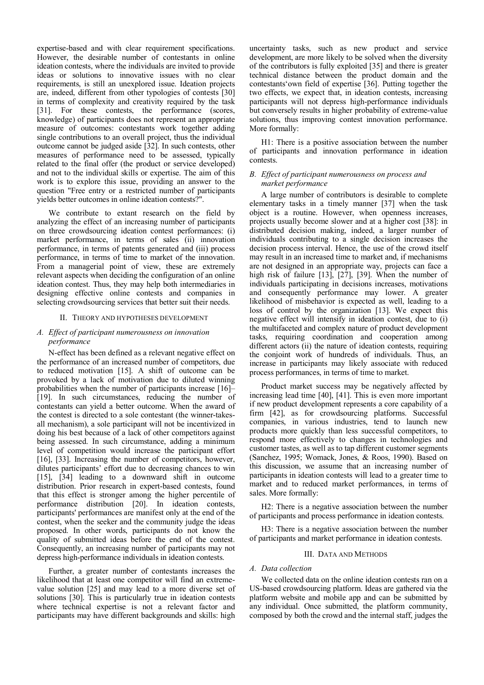expertise-based and with clear requirement specifications. However, the desirable number of contestants in online ideation contests, where the individuals are invited to provide ideas or solutions to innovative issues with no clear requirements, is still an unexplored issue. Ideation projects are, indeed, different from other typologies of contests [30] in terms of complexity and creativity required by the task [31]. For these contests, the performance (scores, knowledge) of participants does not represent an appropriate measure of outcomes: contestants work together adding single contributions to an overall project, thus the individual outcome cannot be judged aside [32]. In such contests, other measures of performance need to be assessed, typically related to the final offer (the product or service developed) and not to the individual skills or expertise. The aim of this work is to explore this issue, providing an answer to the question "Free entry or a restricted number of participants yields better outcomes in online ideation contests?".

We contribute to extant research on the field by analyzing the effect of an increasing number of participants on three crowdsourcing ideation contest performances: (i) market performance, in terms of sales (ii) innovation performance, in terms of patents generated and (iii) process performance, in terms of time to market of the innovation. From a managerial point of view, these are extremely relevant aspects when deciding the configuration of an online ideation contest. Thus, they may help both intermediaries in designing effective online contests and companies in selecting crowdsourcing services that better suit their needs.

## II. THEORY AND HYPOTHESES DEVELOPMENT

## *A. Effect of participant numerousness on innovation performance*

N-effect has been defined as a relevant negative effect on the performance of an increased number of competitors, due to reduced motivation [15]. A shift of outcome can be provoked by a lack of motivation due to diluted winning probabilities when the number of participants increase [16]– [19]. In such circumstances, reducing the number of contestants can yield a better outcome. When the award of the contest is directed to a sole contestant (the winner-takesall mechanism), a sole participant will not be incentivized in doing his best because of a lack of other competitors against being assessed. In such circumstance, adding a minimum level of competition would increase the participant effort [16], [33]. Increasing the number of competitors, however, dilutes participants' effort due to decreasing chances to win [15], [34] leading to a downward shift in outcome distribution. Prior research in expert-based contests, found that this effect is stronger among the higher percentile of performance distribution [20]. In ideation contests, participants' performances are manifest only at the end of the contest, when the seeker and the community judge the ideas proposed. In other words, participants do not know the quality of submitted ideas before the end of the contest. Consequently, an increasing number of participants may not depress high-performance individuals in ideation contests.

Further, a greater number of contestants increases the likelihood that at least one competitor will find an extremevalue solution [25] and may lead to a more diverse set of solutions [30]. This is particularly true in ideation contests where technical expertise is not a relevant factor and participants may have different backgrounds and skills: high

uncertainty tasks, such as new product and service development, are more likely to be solved when the diversity of the contributors is fully exploited [35] and there is greater technical distance between the product domain and the contestants'own field of expertise [36]. Putting together the two effects, we expect that, in ideation contests, increasing participants will not depress high-performance individuals but conversely results in higher probability of extreme-value solutions, thus improving contest innovation performance. More formally:

H1: There is a positive association between the number of participants and innovation performance in ideation contests.

## *B. Effect of participant numerousness on process and market performance*

A large number of contributors is desirable to complete elementary tasks in a timely manner [37] when the task object is a routine. However, when openness increases, projects usually become slower and at a higher cost [38]: in distributed decision making, indeed, a larger number of individuals contributing to a single decision increases the decision process interval. Hence, the use of the crowd itself may result in an increased time to market and, if mechanisms are not designed in an appropriate way, projects can face a high risk of failure [13], [27], [39]. When the number of individuals participating in decisions increases, motivations and consequently performance may lower. A greater likelihood of misbehavior is expected as well, leading to a loss of control by the organization [13]. We expect this negative effect will intensify in ideation contest, due to (i) the multifaceted and complex nature of product development tasks, requiring coordination and cooperation among different actors (ii) the nature of ideation contests, requiring the conjoint work of hundreds of individuals. Thus, an increase in participants may likely associate with reduced process performances, in terms of time to market.

Product market success may be negatively affected by increasing lead time [40], [41]. This is even more important if new product development represents a core capability of a firm [42], as for crowdsourcing platforms. Successful companies, in various industries, tend to launch new products more quickly than less successful competitors, to respond more effectively to changes in technologies and customer tastes, as well as to tap different customer segments (Sanchez, 1995; Womack, Jones, & Roos, 1990). Based on this discussion, we assume that an increasing number of participants in ideation contests will lead to a greater time to market and to reduced market performances, in terms of sales. More formally:

H2: There is a negative association between the number of participants and process performance in ideation contests.

H3: There is a negative association between the number of participants and market performance in ideation contests.

## III. DATA AND METHODS

## *A. Data collection*

We collected data on the online ideation contests ran on a US-based crowdsourcing platform. Ideas are gathered via the platform website and mobile app and can be submitted by any individual. Once submitted, the platform community, composed by both the crowd and the internal staff, judges the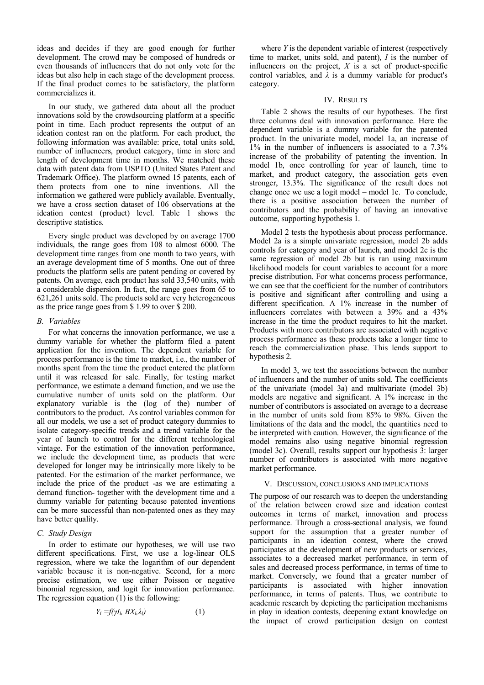ideas and decides if they are good enough for further development. The crowd may be composed of hundreds or even thousands of influencers that do not only vote for the ideas but also help in each stage of the development process. If the final product comes to be satisfactory, the platform commercializes it.

In our study, we gathered data about all the product innovations sold by the crowdsourcing platform at a specific point in time. Each product represents the output of an ideation contest ran on the platform. For each product, the following information was available: price, total units sold, number of influencers, product category, time in store and length of development time in months. We matched these data with patent data from USPTO (United States Patent and Trademark Office). The platform owned 15 patents, each of them protects from one to nine inventions. All the information we gathered were publicly available. Eventually, we have a cross section dataset of 106 observations at the ideation contest (product) level. Table 1 shows the descriptive statistics.

Every single product was developed by on average 1700 individuals, the range goes from 108 to almost 6000. The development time ranges from one month to two years, with an average development time of 5 months. One out of three products the platform sells are patent pending or covered by patents. On average, each product has sold 33,540 units, with a considerable dispersion. In fact, the range goes from 65 to 621,261 units sold. The products sold are very heterogeneous as the price range goes from \$ 1.99 to over \$ 200.

## *B. Variables*

For what concerns the innovation performance, we use a dummy variable for whether the platform filed a patent application for the invention. The dependent variable for process performance is the time to market, i.e., the number of months spent from the time the product entered the platform until it was released for sale. Finally, for testing market performance, we estimate a demand function, and we use the cumulative number of units sold on the platform. Our explanatory variable is the (log of the) number of contributors to the product. As control variables common for all our models, we use a set of product category dummies to isolate category-specific trends and a trend variable for the year of launch to control for the different technological vintage. For the estimation of the innovation performance, we include the development time, as products that were developed for longer may be intrinsically more likely to be patented. For the estimation of the market performance, we include the price of the product -as we are estimating a demand function- together with the development time and a dummy variable for patenting because patented inventions can be more successful than non-patented ones as they may have better quality.

#### *C. Study Design*

In order to estimate our hypotheses, we will use two different specifications. First, we use a log-linear OLS regression, where we take the logarithm of our dependent variable because it is non-negative. Second, for a more precise estimation, we use either Poisson or negative binomial regression, and logit for innovation performance. The regression equation (1) is the following:

$$
Y_i = f(\gamma I_i, BX_i,\lambda_i) \tag{1}
$$

where *Y* is the dependent variable of interest (respectively time to market, units sold, and patent), *I* is the number of influencers on the project, *X* is a set of product-specific control variables, and  $\lambda$  is a dummy variable for product's category.

### IV. RESULTS

Table 2 shows the results of our hypotheses. The first three columns deal with innovation performance. Here the dependent variable is a dummy variable for the patented product. In the univariate model, model 1a, an increase of 1% in the number of influencers is associated to a 7.3% increase of the probability of patenting the invention. In model 1b, once controlling for year of launch, time to market, and product category, the association gets even stronger, 13.3%. The significance of the result does not change once we use a logit model – model 1c. To conclude, there is a positive association between the number of contributors and the probability of having an innovative outcome, supporting hypothesis 1.

Model 2 tests the hypothesis about process performance. Model 2a is a simple univariate regression, model 2b adds controls for category and year of launch, and model 2c is the same regression of model 2b but is ran using maximum likelihood models for count variables to account for a more precise distribution. For what concerns process performance, we can see that the coefficient for the number of contributors is positive and significant after controlling and using a different specification. A 1% increase in the number of influencers correlates with between a 39% and a 43% increase in the time the product requires to hit the market. Products with more contributors are associated with negative process performance as these products take a longer time to reach the commercialization phase. This lends support to hypothesis 2.

In model 3, we test the associations between the number of influencers and the number of units sold. The coefficients of the univariate (model 3a) and multivariate (model 3b) models are negative and significant. A 1% increase in the number of contributors is associated on average to a decrease in the number of units sold from 85% to 98%. Given the limitations of the data and the model, the quantities need to be interpreted with caution. However, the significance of the model remains also using negative binomial regression (model 3c). Overall, results support our hypothesis 3: larger number of contributors is associated with more negative market performance.

## V. DISCUSSION, CONCLUSIONS AND IMPLICATIONS

The purpose of our research was to deepen the understanding of the relation between crowd size and ideation contest outcomes in terms of market, innovation and process performance. Through a cross-sectional analysis, we found support for the assumption that a greater number of participants in an ideation contest, where the crowd participates at the development of new products or services, associates to a decreased market performance, in term of sales and decreased process performance, in terms of time to market. Conversely, we found that a greater number of participants is associated with higher innovation performance, in terms of patents. Thus, we contribute to academic research by depicting the participation mechanisms in play in ideation contests, deepening extant knowledge on the impact of crowd participation design on contest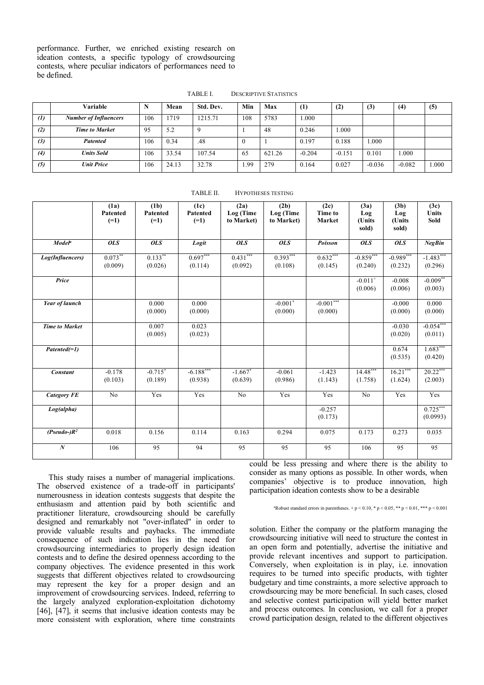performance. Further, we enriched existing research on ideation contests, a specific typology of crowdsourcing contests, where peculiar indicators of performances need to be defined.

|                   | <b>Variable</b>              | N   | Mean  | Std. Dev. | Min  | Max    | (1)      | (2)      | (3)      | (4)      | (5)   |
|-------------------|------------------------------|-----|-------|-----------|------|--------|----------|----------|----------|----------|-------|
| $\left( l\right)$ | <b>Number of Influencers</b> | 106 | 1719  | 1215.71   | 108  | 5783   | 1.000    |          |          |          |       |
| (2)               | <b>Time to Market</b>        | 95  | 5.2   | Q         |      | 48     | 0.246    | .000     |          |          |       |
| (3)               | Patented                     | 106 | 0.34  | .48       | -0   |        | 0.197    | 0.188    | .000     |          |       |
| (4)               | <b>Units Sold</b>            | 106 | 33.54 | 107.54    | 65   | 621.26 | $-0.204$ | $-0.151$ | 0.101    | 000.1    |       |
| (5)               | <b>Unit Price</b>            | 106 | 24.13 | 32.78     | . 99 | 279    | 0.164    | 0.027    | $-0.036$ | $-0.082$ | 000.1 |

TABLE I. DESCRIPTIVE STATISTICS

|                            | (1a)<br>Patented<br>$(=1)$ | (1 <sub>b</sub> )<br>Patented<br>$(=1)$ | (1c)<br>Patented<br>$(=1)$ | (2a)<br>Log (Time<br>to Market)  | (2b)<br>Log (Time<br>to Market)  | (2c)<br><b>Time to</b><br>Market | (3a)<br>Log<br>(Units<br>sold)   | (3b)<br>Log<br>(Units<br>sold) | (3c)<br>Units<br>Sold             |
|----------------------------|----------------------------|-----------------------------------------|----------------------------|----------------------------------|----------------------------------|----------------------------------|----------------------------------|--------------------------------|-----------------------------------|
| Model <sup>a</sup>         | $\overline{OLS}$           | $\overline{OLS}$                        | Logit                      | $\overline{OLS}$                 | $\overline{OLS}$                 | <b>Poisson</b>                   | $\overline{OLS}$                 | <b>OLS</b>                     | NegBin                            |
| Log(Influencers)           | $0.073***$<br>(0.009)      | $0.133***$<br>(0.026)                   | $0.697***$<br>(0.114)      | $0.431***$<br>(0.092)            | $0.393***$<br>(0.108)            | $0.632***$<br>(0.145)            | $-0.859***$<br>(0.240)           | $-0.989***$<br>(0.232)         | $-1.483***$<br>(0.296)            |
| Price                      |                            |                                         |                            |                                  |                                  |                                  | $-0.011$ <sup>+</sup><br>(0.006) | $-0.008$<br>(0.006)            | $-0.009$ <sup>**</sup><br>(0.003) |
| Year of launch             |                            | 0.000<br>(0.000)                        | 0.000<br>(0.000)           |                                  | $-0.001$ <sup>*</sup><br>(0.000) | $-0.001***$<br>(0.000)           |                                  | $-0.000$<br>(0.000)            | 0.000<br>(0.000)                  |
| <b>Time to Market</b>      |                            | 0.007<br>(0.005)                        | 0.023<br>(0.023)           |                                  |                                  |                                  |                                  | $-0.030$<br>(0.020)            | $-0.054***$<br>(0.011)            |
| $Patented (=1)$            |                            |                                         |                            |                                  |                                  |                                  |                                  | 0.674<br>(0.535)               | $1.683***$<br>(0.420)             |
| <b>Constant</b>            | $-0.178$<br>(0.103)        | $-0.715$ *<br>(0.189)                   | $-6.188***$<br>(0.938)     | $-1.667$ <sup>*</sup><br>(0.639) | $-0.061$<br>(0.986)              | $-1.423$<br>(1.143)              | $14.48***$<br>(1.758)            | $16.21***$<br>(1.624)          | $20.22***$<br>(2.003)             |
| <b>Category FE</b>         | No                         | Yes                                     | Yes                        | No                               | Yes                              | Yes                              | N <sub>0</sub>                   | Yes                            | Yes                               |
| Log(alpha)                 |                            |                                         |                            |                                  |                                  | $-0.257$<br>(0.173)              |                                  |                                | $0.725***$<br>(0.0993)            |
| (Pseudo-) $\overline{R^2}$ | 0.018                      | 0.156                                   | 0.114                      | 0.163                            | 0.294                            | 0.075                            | 0.173                            | 0.273                          | 0.035                             |
| $\boldsymbol{N}$           | 106                        | 95                                      | 94                         | 95                               | 95                               | 95                               | 106                              | 95                             | 95                                |

TABLE II. HYPOTHESES TESTING

This study raises a number of managerial implications. The observed existence of a trade-off in participants' numerousness in ideation contests suggests that despite the enthusiasm and attention paid by both scientific and practitioner literature, crowdsourcing should be carefully designed and remarkably not "over-inflated" in order to provide valuable results and paybacks. The immediate consequence of such indication lies in the need for crowdsourcing intermediaries to properly design ideation contests and to define the desired openness according to the company objectives. The evidence presented in this work suggests that different objectives related to crowdsourcing may represent the key for a proper design and an improvement of crowdsourcing services. Indeed, referring to the largely analyzed exploration-exploitation dichotomy [46], [47], it seems that inclusive ideation contests may be more consistent with exploration, where time constraints

could be less pressing and where there is the ability to consider as many options as possible. In other words, when companies' objective is to produce innovation, high participation ideation contests show to be a desirable

"Robust standard errors in parentheses.  $+p < 0.10$ , \*  $p < 0.05$ , \*\*  $p < 0.01$ , \*\*\*  $p < 0.001$ 

solution. Either the company or the platform managing the crowdsourcing initiative will need to structure the contest in an open form and potentially, advertise the initiative and provide relevant incentives and support to participation. Conversely, when exploitation is in play, i.e. innovation requires to be turned into specific products, with tighter budgetary and time constraints, a more selective approach to crowdsourcing may be more beneficial. In such cases, closed and selective contest participation will yield better market and process outcomes. In conclusion, we call for a proper crowd participation design, related to the different objectives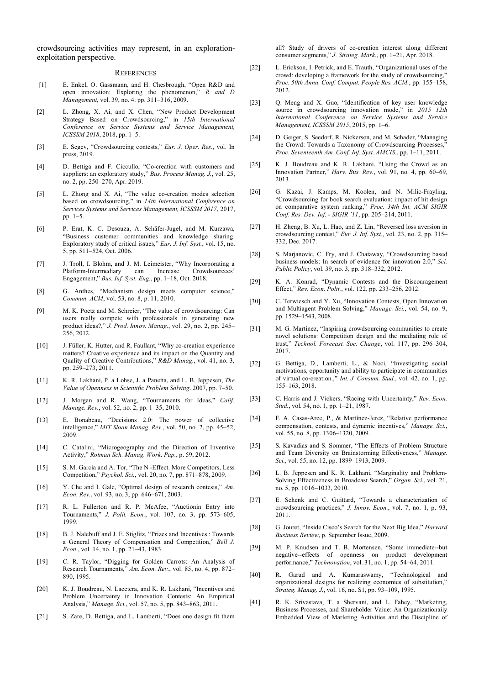crowdsourcing activities may represent, in an explorationexploitation perspective.

#### **REFERENCES**

- [1] E. Enkel, O. Gassmann, and H. Chesbrough, "Open R&D and open innovation: Exploring the phenomenon," *R and D Management*, vol. 39, no. 4. pp. 311–316, 2009.
- [2] L. Zhong, X. Ai, and X. Chen, "New Product Development Strategy Based on Crowdsourcing," in *15th International Conference on Service Systems and Service Management, ICSSSM 2018*, 2018, pp. 1–5.
- [3] E. Segev, "Crowdsourcing contests," *Eur. J. Oper. Res.*, vol. In press, 2019.
- [4] D. Bettiga and F. Ciccullo, "Co-creation with customers and suppliers: an exploratory study," *Bus. Process Manag. J.*, vol. 25, no. 2, pp. 250–270, Apr. 2019.
- [5] L. Zhong and X. Ai, "The value co-creation modes selection based on crowdsourcing," in *14th International Conference on Services Systems and Services Management, ICSSSM 2017*, 2017, pp. 1–5.
- [6] P. Erat, K. C. Desouza, A. Schäfer-Jugel, and M. Kurzawa, "Business customer communities and knowledge sharing: Exploratory study of critical issues," *Eur. J. Inf. Syst.*, vol. 15, no. 5, pp. 511–524, Oct. 2006.
- [7] J. Troll, I. Blohm, and J. M. Leimeister, "Why Incorporating a Platform-Intermediary can Increase Crowdsourcees' Engagement," *Bus. Inf. Syst. Eng.*, pp. 1–18, Oct. 2018.
- [8] G. Anthes, "Mechanism design meets computer science," *Commun. ACM*, vol. 53, no. 8, p. 11, 2010.
- [9] M. K. Poetz and M. Schreier, "The value of crowdsourcing: Can users really compete with professionals in generating new product ideas?," *J. Prod. Innov. Manag.*, vol. 29, no. 2, pp. 245– 256, 2012.
- [10] J. Füller, K. Hutter, and R. Faullant, "Why co-creation experience matters? Creative experience and its impact on the Quantity and Quality of Creative Contributions," *R&D Manag.*, vol. 41, no. 3, pp. 259–273, 2011.
- [11] K. R. Lakhani, P. a Lohse, J. a Panetta, and L. B. Jeppesen, *The Value of Openness in Scientific Problem Solving*. 2007, pp. 7–50.
- [12] J. Morgan and R. Wang, "Tournaments for Ideas," *Calif. Manage. Rev.*, vol. 52, no. 2, pp. 1–35, 2010.
- [13] E. Bonabeau, "Decisions 2.0: The power of collective intelligence," *MIT Sloan Manag. Rev.*, vol. 50, no. 2, pp. 45–52, 2009.
- [14] C. Catalini, "Microgeography and the Direction of Inventive Activity," *Rotman Sch. Manag. Work. Pap.*, p. 59, 2012.
- [15] S. M. Garcia and A. Tor, "The N-Effect. More Competitors, Less Competition," *Psychol. Sci.*, vol. 20, no. 7, pp. 871–878, 2009.
- [16] Y. Che and I. Gale, "Optimal design of research contests," *Am. Econ. Rev.*, vol. 93, no. 3, pp. 646–671, 2003.
- [17] R. L. Fullerton and R. P. McAfee, "Auctionin Entry into Tournaments," *J. Polit. Econ.*, vol. 107, no. 3, pp. 573–605, 1999.
- [18] B. J. Nalebuff and J. E. Stiglitz, "Prizes and Incentives : Towards a General Theory of Compensation and Competition," *Bell J. Econ.*, vol. 14, no. 1, pp. 21–43, 1983.
- [19] C. R. Taylor, "Digging for Golden Carrots: An Analysis of Research Tournaments," *Am. Econ. Rev.*, vol. 85, no. 4, pp. 872– 890, 1995.
- [20] K. J. Boudreau, N. Lacetera, and K. R. Lakhani, "Incentives and Problem Uncertainty in Innovation Contests: An Empirical Analysis," *Manage. Sci.*, vol. 57, no. 5, pp. 843–863, 2011.
- [21] S. Zare, D. Bettiga, and L. Lamberti, "Does one design fit them

all? Study of drivers of co-creation interest along different consumer segments," *J. Strateg. Mark.*, pp. 1–21, Apr. 2018.

- [22] L. Erickson, I. Petrick, and E. Trauth, "Organizational uses of the crowd: developing a framework for the study of crowdsourcing," *Proc. 50th Annu. Conf. Comput. People Res. ACM.*, pp. 155–158, 2012.
- [23] Q. Meng and X. Guo, "Identification of key user knowledge source in crowdsourcing innovation mode," in *2015 12th International Conference on Service Systems and Service Management, ICSSSM 2015*, 2015, pp. 1–6.
- [24] D. Geiger, S. Seedorf, R. Nickerson, and M. Schader, "Managing the Crowd: Towards a Taxonomy of Crowdsourcing Processes," *Proc. Seventeenth Am. Conf. Inf. Syst. AMCIS.*, pp. 1–11, 2011.
- [25] K. J. Boudreau and K. R. Lakhani, "Using the Crowd as an Innovation Partner," *Harv. Bus. Rev.*, vol. 91, no. 4, pp. 60–69, 2013.
- [26] G. Kazai, J. Kamps, M. Koolen, and N. Milic-Frayling, "Crowdsourcing for book search evaluation: impact of hit design on comparative system ranking," *Proc. 34th Int. ACM SIGIR Conf. Res. Dev. Inf. - SIGIR '11*, pp. 205–214, 2011.
- [27] H. Zheng, B. Xu, L. Hao, and Z. Lin, "Reversed loss aversion in crowdsourcing contest," *Eur. J. Inf. Syst.*, vol. 23, no. 2, pp. 315– 332, Dec. 2017.
- [28] S. Marjanovic, C. Fry, and J. Chataway, "Crowdsourcing based business models: In search of evidence for innovation 2.0," *Sci. Public Policy*, vol. 39, no. 3, pp. 318–332, 2012.
- [29] K. A. Konrad, "Dynamic Contests and the Discouragement Effect," *Rev. Econ. Polit.*, vol. 122, pp. 233–256, 2012.
- [30] C. Terwiesch and Y. Xu, "Innovation Contests, Open Innovation and Multiagent Problem Solving," *Manage. Sci.*, vol. 54, no. 9, pp. 1529–1543, 2008.
- [31] M. G. Martinez, "Inspiring crowdsourcing communities to create novel solutions: Competition design and the mediating role of trust," *Technol. Forecast. Soc. Change*, vol. 117, pp. 296–304, 2017.
- [32] G. Bettiga, D., Lamberti, L., & Noci, "Investigating social motivations, opportunity and ability to participate in communities of virtual co-creation.," *Int. J. Consum. Stud.*, vol. 42, no. 1, pp. 155–163, 2018.
- [33] C. Harris and J. Vickers, "Racing with Uncertainty," *Rev. Econ. Stud.*, vol. 54, no. 1, pp. 1–21, 1987.
- [34] F. A. Casas-Arce, P., & Martínez-Jerez, "Relative performance compensation, contests, and dynamic incentives," *Manage. Sci.*, vol. 55, no. 8, pp. 1306–1320, 2009.
- [35] S. Kavadias and S. Sommer, "The Effects of Problem Structure and Team Diversity on Brainstorming Effectiveness," *Manage. Sci.*, vol. 55, no. 12, pp. 1899–1913, 2009.
- [36] L. B. Jeppesen and K. R. Lakhani, "Marginality and Problem-Solving Effectiveness in Broadcast Search," *Organ. Sci.*, vol. 21, no. 5, pp. 1016–1033, 2010.
- [37] E. Schenk and C. Guittard, "Towards a characterization of crowdsourcing practices," *J. Innov. Econ.*, vol. 7, no. 1, p. 93, 2011.
- [38] G. Jouret, "Inside Cisco's Search for the Next Big Idea," *Harvard Business Review*, p. September Issue, 2009.
- [39] M. P. Knudsen and T. B. Mortensen, "Some immediate--but negative--effects of openness on product development performance," *Technovation*, vol. 31, no. 1, pp. 54–64, 2011.
- [40] R. Garud and A. Kumaraswamy, "Technological and organizational designs for realizing economies of substitution," *Strateg. Manag. J.*, vol. 16, no. S1, pp. 93–109, 1995.
- [41] R. K. Srivastava, T. a Shervani, and L. Fahey, "Marketing, Business Processes, and Shareholder Vaiue: An Organizationaiiy Embedded View of Marleting Activities and the Discipline of